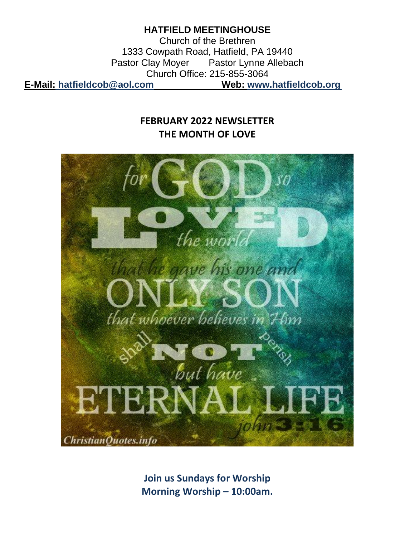**HATFIELD MEETINGHOUSE**

Church of the Brethren 1333 Cowpath Road, Hatfield, PA 19440 Pastor Clay Moyer Pastor Lynne Allebach Church Office: 215-855-3064

**E-Mail: [hatfieldcob@aol.com](mailto:hatfieldcob@aol.com) Web: [www.hatfieldcob.org](http://www.hatfieldcob.org/)**

## **FEBRUARY 2022 NEWSLETTER THE MONTH OF LOVE**



**Join us Sundays for Worship Morning Worship – 10:00am.**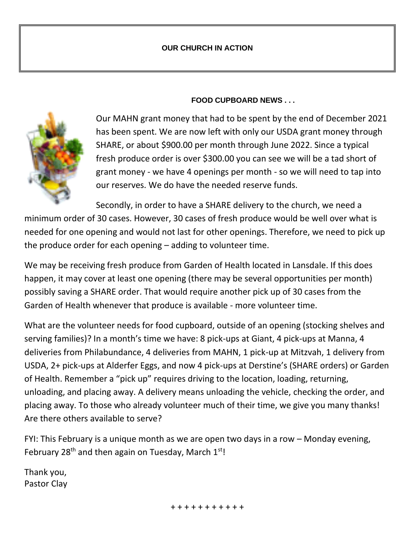#### **OUR CHURCH IN ACTION**



Our MAHN grant money that had to be spent by the end of December 2021 has been spent. We are now left with only our USDA grant money through SHARE, or about \$900.00 per month through June 2022. Since a typical fresh produce order is over \$300.00 you can see we will be a tad short of grant money - we have 4 openings per month - so we will need to tap into our reserves. We do have the needed reserve funds.

**FOOD CUPBOARD NEWS . . .** 

Secondly, in order to have a SHARE delivery to the church, we need a minimum order of 30 cases. However, 30 cases of fresh produce would be well over what is needed for one opening and would not last for other openings. Therefore, we need to pick up the produce order for each opening – adding to volunteer time.

We may be receiving fresh produce from Garden of Health located in Lansdale. If this does happen, it may cover at least one opening (there may be several opportunities per month) possibly saving a SHARE order. That would require another pick up of 30 cases from the Garden of Health whenever that produce is available - more volunteer time.

What are the volunteer needs for food cupboard, outside of an opening (stocking shelves and serving families)? In a month's time we have: 8 pick-ups at Giant, 4 pick-ups at Manna, 4 deliveries from Philabundance, 4 deliveries from MAHN, 1 pick-up at Mitzvah, 1 delivery from USDA, 2+ pick-ups at Alderfer Eggs, and now 4 pick-ups at Derstine's (SHARE orders) or Garden of Health. Remember a "pick up" requires driving to the location, loading, returning, unloading, and placing away. A delivery means unloading the vehicle, checking the order, and placing away. To those who already volunteer much of their time, we give you many thanks! Are there others available to serve?

FYI: This February is a unique month as we are open two days in a row – Monday evening, February 28<sup>th</sup> and then again on Tuesday, March  $1<sup>st</sup>$ !

Thank you, Pastor Clay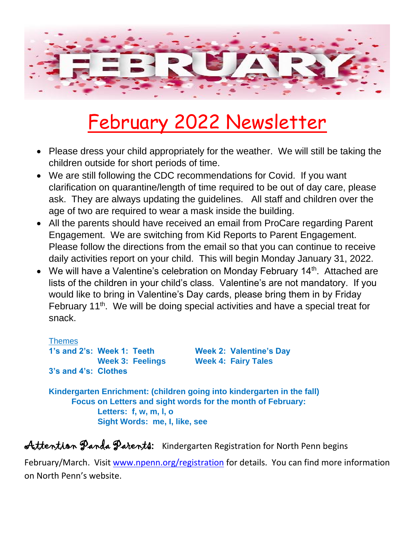

# February 2022 Newsletter

- Please dress your child appropriately for the weather. We will still be taking the children outside for short periods of time.
- We are still following the CDC recommendations for Covid. If you want clarification on quarantine/length of time required to be out of day care, please ask. They are always updating the guidelines. All staff and children over the age of two are required to wear a mask inside the building.
- All the parents should have received an email from ProCare regarding Parent Engagement. We are switching from Kid Reports to Parent Engagement. Please follow the directions from the email so that you can continue to receive daily activities report on your child. This will begin Monday January 31, 2022.
- We will have a Valentine's celebration on Monday February  $14<sup>th</sup>$ . Attached are lists of the children in your child's class. Valentine's are not mandatory. If you would like to bring in Valentine's Day cards, please bring them in by Friday February 11<sup>th</sup>. We will be doing special activities and have a special treat for snack.

Themes **1's and 2's: Week 1: Teeth Week 2: Valentine's Day 3's and 4's: Clothes**

**Week 3: Feelings Week 4: Fairy Tales**

**Kindergarten Enrichment: (children going into kindergarten in the fall) Focus on Letters and sight words for the month of February: Letters: f, w, m, l, o Sight Words: me, I, like, see**

Attention Panda Parents: Kindergarten Registration for North Penn begins

February/March. Visit [www.npenn.org/registration](http://www.npenn.org/registration) for details. You can find more information on North Penn's website.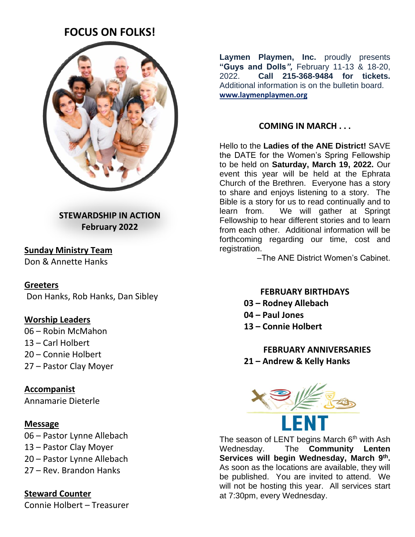## **FOCUS ON FOLKS!**



**STEWARDSHIP IN ACTION February 2022**

**Sunday Ministry Team**

Don & Annette Hanks

#### **Greeters**

Don Hanks, Rob Hanks, Dan Sibley

### **Worship Leaders**

 – Robin McMahon – Carl Holbert – Connie Holbert – Pastor Clay Moyer

**Accompanist** Annamarie Dieterle

#### **Message**

 – Pastor Lynne Allebach – Pastor Clay Moyer – Pastor Lynne Allebach – Rev. Brandon Hanks

### **Steward Counter**

Connie Holbert – Treasurer

**Laymen Playmen, Inc.** proudly presents **"Guys and Dolls***",* February 11-13 & 18-20, 2022. **Call 215-368-9484 for tickets.**  Additional information is on the bulletin board. **www.laymenplaymen.org**

#### **COMING IN MARCH . . .**

Hello to the **Ladies of the ANE District!** SAVE the DATE for the Women's Spring Fellowship to be held on **Saturday, March 19, 2022.** Our event this year will be held at the Ephrata Church of the Brethren. Everyone has a story to share and enjoys listening to a story. The Bible is a story for us to read continually and to learn from. We will gather at Springt Fellowship to hear different stories and to learn from each other. Additional information will be forthcoming regarding our time, cost and registration.

–The ANE District Women's Cabinet.

#### **FEBRUARY BIRTHDAYS**

- **03 – Rodney Allebach**
- **04 – Paul Jones**
- **13 – Connie Holbert**

**FEBRUARY ANNIVERSARIES 21 – Andrew & Kelly Hanks**



The season of LENT begins March 6<sup>th</sup> with Ash Wednesday. The **Community Lenten Services will begin Wednesday, March 9th .**  As soon as the locations are available, they will be published. You are invited to attend. We will not be hosting this year. All services start at 7:30pm, every Wednesday.